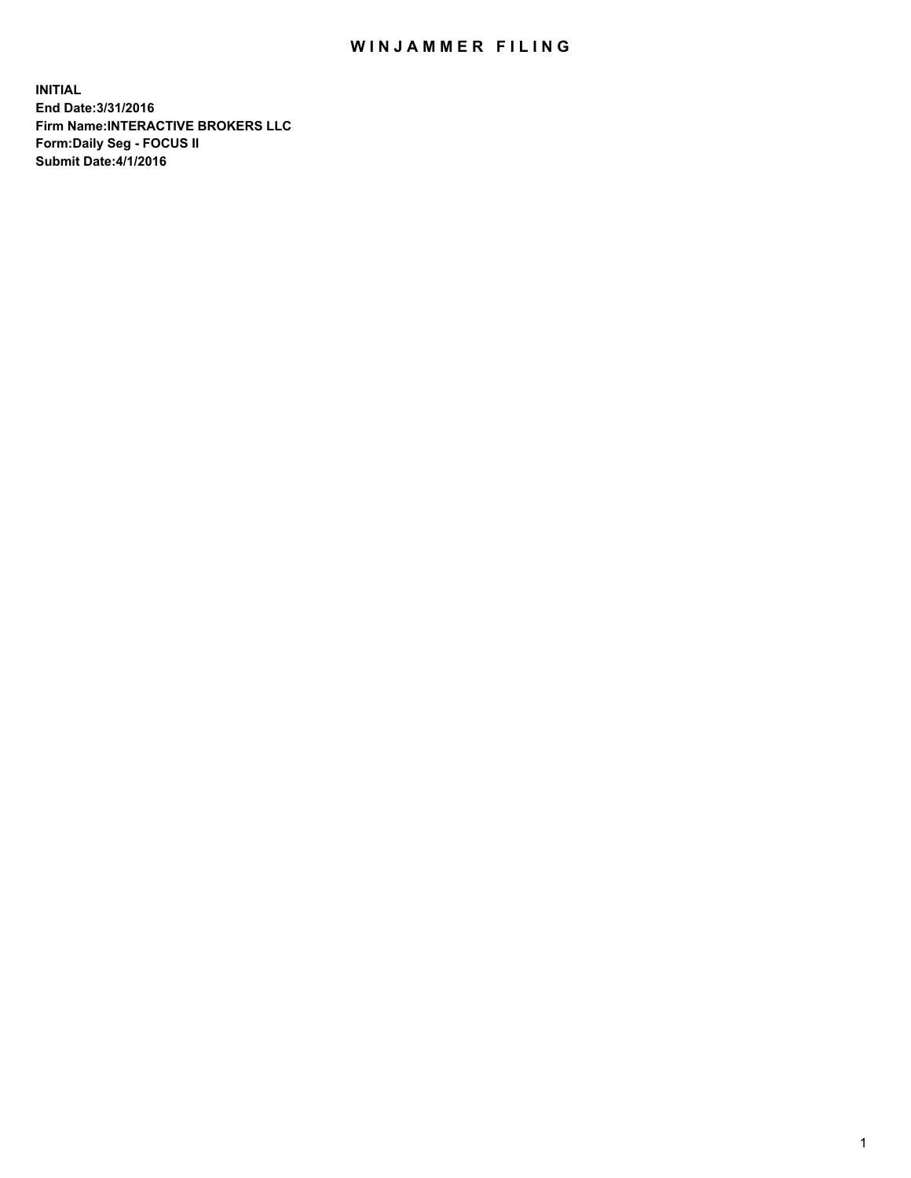## WIN JAMMER FILING

**INITIAL End Date:3/31/2016 Firm Name:INTERACTIVE BROKERS LLC Form:Daily Seg - FOCUS II Submit Date:4/1/2016**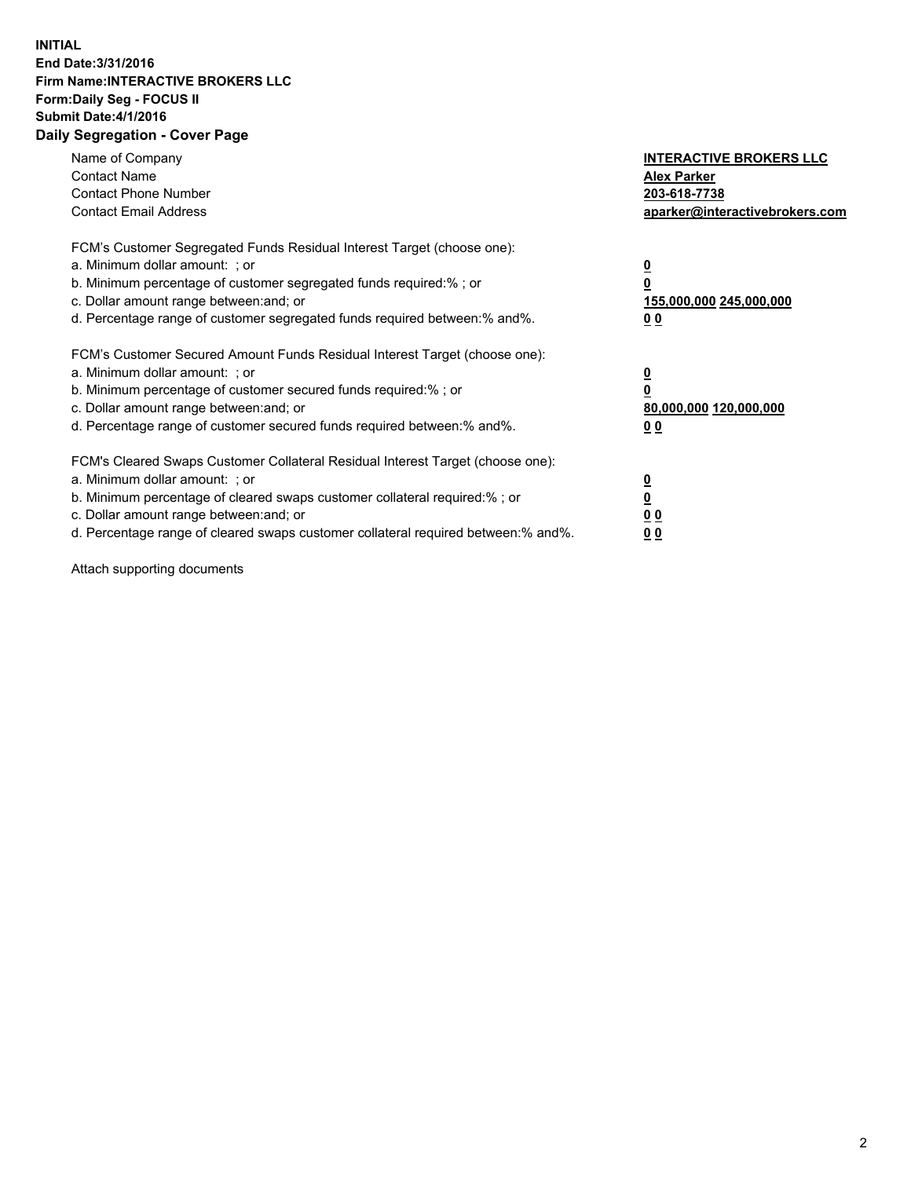## **INITIAL End Date:3/31/2016 Firm Name:INTERACTIVE BROKERS LLC Form:Daily Seg - FOCUS II Submit Date:4/1/2016 Daily Segregation - Cover Page**

| Name of Company<br><b>Contact Name</b><br><b>Contact Phone Number</b><br><b>Contact Email Address</b>                                                                                                                                                                                                                          | <b>INTERACTIVE BROKERS LLC</b><br><b>Alex Parker</b><br>203-618-7738<br>aparker@interactivebrokers.com |
|--------------------------------------------------------------------------------------------------------------------------------------------------------------------------------------------------------------------------------------------------------------------------------------------------------------------------------|--------------------------------------------------------------------------------------------------------|
| FCM's Customer Segregated Funds Residual Interest Target (choose one):<br>a. Minimum dollar amount: ; or<br>b. Minimum percentage of customer segregated funds required:%; or<br>c. Dollar amount range between: and; or<br>d. Percentage range of customer segregated funds required between:% and%.                          | <u>0</u><br>155,000,000 245,000,000<br><u>00</u>                                                       |
| FCM's Customer Secured Amount Funds Residual Interest Target (choose one):<br>a. Minimum dollar amount: ; or<br>b. Minimum percentage of customer secured funds required:%; or<br>c. Dollar amount range between: and; or<br>d. Percentage range of customer secured funds required between:% and%.                            | <u>0</u><br>80,000,000 120,000,000<br><u>00</u>                                                        |
| FCM's Cleared Swaps Customer Collateral Residual Interest Target (choose one):<br>a. Minimum dollar amount: ; or<br>b. Minimum percentage of cleared swaps customer collateral required:% ; or<br>c. Dollar amount range between: and; or<br>d. Percentage range of cleared swaps customer collateral required between:% and%. | <u>0</u><br>0 <sub>0</sub><br>0 <sub>0</sub>                                                           |

Attach supporting documents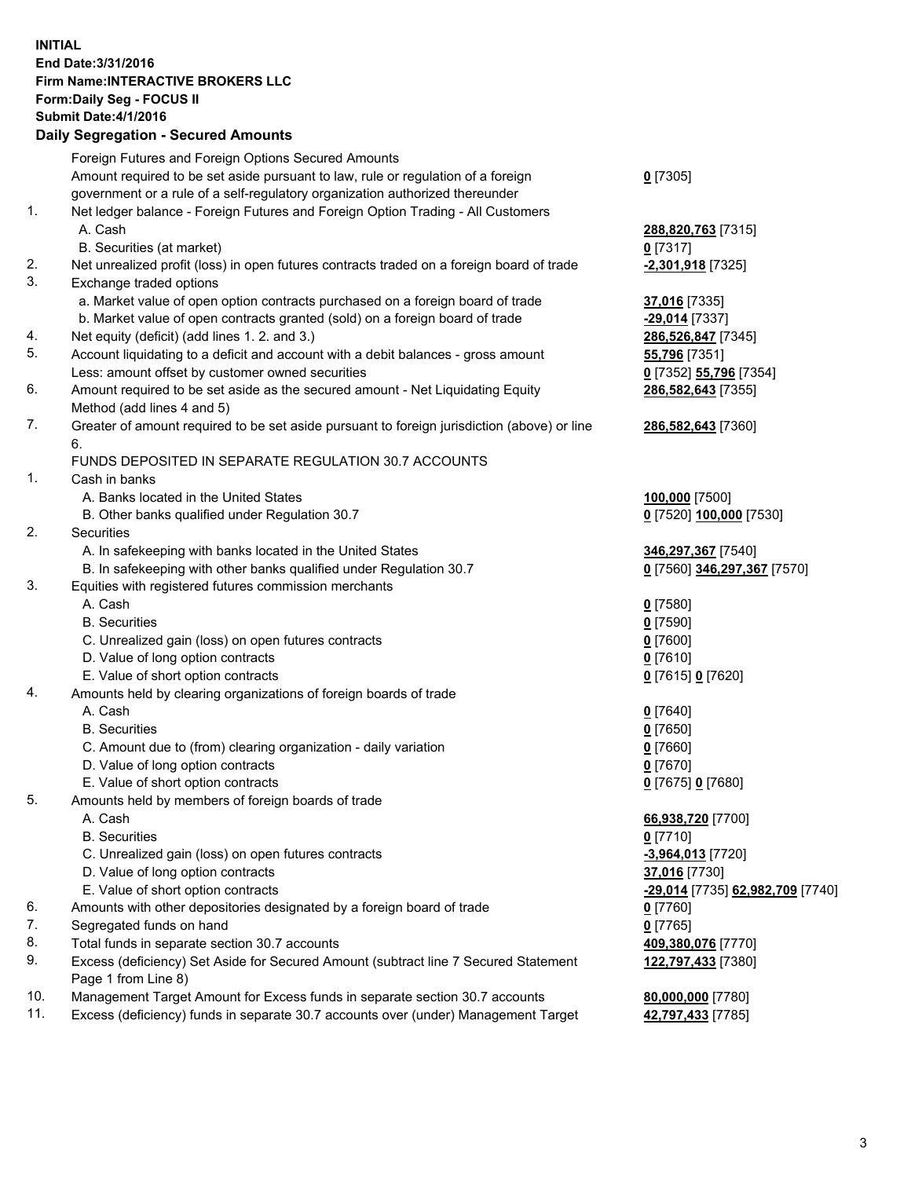## **INITIAL End Date:3/31/2016 Firm Name:INTERACTIVE BROKERS LLC Form:Daily Seg - FOCUS II Submit Date:4/1/2016 Daily Segregation - Secured Amounts**

|     | Dany Ocgregation - Oceanea Annoanta                                                                        |                                  |
|-----|------------------------------------------------------------------------------------------------------------|----------------------------------|
|     | Foreign Futures and Foreign Options Secured Amounts                                                        |                                  |
|     | Amount required to be set aside pursuant to law, rule or regulation of a foreign                           | $0$ [7305]                       |
|     | government or a rule of a self-regulatory organization authorized thereunder                               |                                  |
| 1.  | Net ledger balance - Foreign Futures and Foreign Option Trading - All Customers                            |                                  |
|     | A. Cash                                                                                                    | 288,820,763 [7315]               |
|     | B. Securities (at market)                                                                                  | $0$ [7317]                       |
| 2.  | Net unrealized profit (loss) in open futures contracts traded on a foreign board of trade                  | -2,301,918 [7325]                |
| 3.  | Exchange traded options                                                                                    |                                  |
|     | a. Market value of open option contracts purchased on a foreign board of trade                             | 37,016 [7335]                    |
|     | b. Market value of open contracts granted (sold) on a foreign board of trade                               | -29,014 [7337]                   |
| 4.  | Net equity (deficit) (add lines 1.2. and 3.)                                                               | 286,526,847 [7345]               |
| 5.  | Account liquidating to a deficit and account with a debit balances - gross amount                          | 55,796 [7351]                    |
|     | Less: amount offset by customer owned securities                                                           | 0 [7352] 55,796 [7354]           |
| 6.  | Amount required to be set aside as the secured amount - Net Liquidating Equity                             | 286,582,643 [7355]               |
|     | Method (add lines 4 and 5)                                                                                 |                                  |
| 7.  | Greater of amount required to be set aside pursuant to foreign jurisdiction (above) or line                | 286,582,643 [7360]               |
|     | 6.                                                                                                         |                                  |
|     | FUNDS DEPOSITED IN SEPARATE REGULATION 30.7 ACCOUNTS                                                       |                                  |
| 1.  | Cash in banks                                                                                              |                                  |
|     | A. Banks located in the United States                                                                      | 100,000 [7500]                   |
|     | B. Other banks qualified under Regulation 30.7                                                             | 0 [7520] 100,000 [7530]          |
| 2.  | Securities                                                                                                 |                                  |
|     | A. In safekeeping with banks located in the United States                                                  | 346,297,367 [7540]               |
|     | B. In safekeeping with other banks qualified under Regulation 30.7                                         | 0 [7560] 346,297,367 [7570]      |
| 3.  | Equities with registered futures commission merchants                                                      |                                  |
|     | A. Cash                                                                                                    | $0$ [7580]                       |
|     | <b>B.</b> Securities                                                                                       | $0$ [7590]                       |
|     | C. Unrealized gain (loss) on open futures contracts                                                        | $0$ [7600]                       |
|     | D. Value of long option contracts                                                                          | $0$ [7610]                       |
|     | E. Value of short option contracts                                                                         | 0 [7615] 0 [7620]                |
| 4.  | Amounts held by clearing organizations of foreign boards of trade                                          |                                  |
|     | A. Cash                                                                                                    | $0$ [7640]                       |
|     | <b>B.</b> Securities                                                                                       | $0$ [7650]                       |
|     | C. Amount due to (from) clearing organization - daily variation                                            | $0$ [7660]                       |
|     | D. Value of long option contracts                                                                          | $0$ [7670]                       |
|     | E. Value of short option contracts                                                                         | 0 [7675] 0 [7680]                |
| 5.  | Amounts held by members of foreign boards of trade                                                         |                                  |
|     | A. Cash                                                                                                    | 66,938,720 [7700]                |
|     | <b>B.</b> Securities                                                                                       | $0$ [7710]                       |
|     | C. Unrealized gain (loss) on open futures contracts                                                        | $-3,964,013$ [7720]              |
|     | D. Value of long option contracts                                                                          | 37,016 [7730]                    |
|     | E. Value of short option contracts                                                                         | -29,014 [7735] 62,982,709 [7740] |
| 6.  | Amounts with other depositories designated by a foreign board of trade                                     | 0 [7760]                         |
| 7.  | Segregated funds on hand                                                                                   | $0$ [7765]                       |
| 8.  | Total funds in separate section 30.7 accounts                                                              | 409,380,076 [7770]               |
| 9.  | Excess (deficiency) Set Aside for Secured Amount (subtract line 7 Secured Statement<br>Page 1 from Line 8) | 122,797,433 [7380]               |
| 10. | Management Target Amount for Excess funds in separate section 30.7 accounts                                | 80,000,000 [7780]                |
| 11. | Excess (deficiency) funds in separate 30.7 accounts over (under) Management Target                         | 42,797,433 [7785]                |
|     |                                                                                                            |                                  |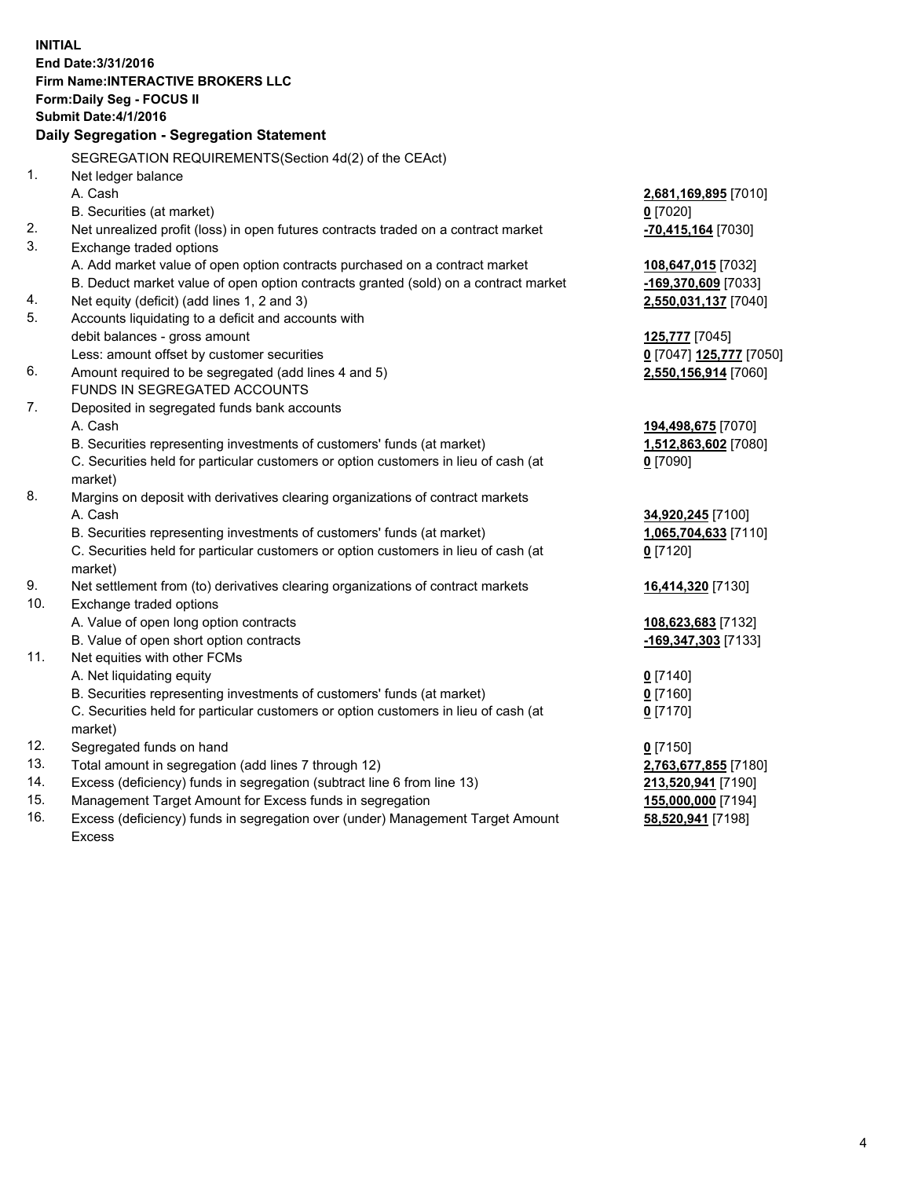**INITIAL End Date:3/31/2016 Firm Name:INTERACTIVE BROKERS LLC Form:Daily Seg - FOCUS II Submit Date:4/1/2016 Daily Segregation - Segregation Statement** SEGREGATION REQUIREMENTS(Section 4d(2) of the CEAct) 1. Net ledger balance A. Cash **2,681,169,895** [7010] B. Securities (at market) **0** [7020] 2. Net unrealized profit (loss) in open futures contracts traded on a contract market **-70,415,164** [7030] 3. Exchange traded options A. Add market value of open option contracts purchased on a contract market **108,647,015** [7032] B. Deduct market value of open option contracts granted (sold) on a contract market **-169,370,609** [7033] 4. Net equity (deficit) (add lines 1, 2 and 3) **2,550,031,137** [7040] 5. Accounts liquidating to a deficit and accounts with debit balances - gross amount **125,777** [7045] Less: amount offset by customer securities **0** [7047] **125,777** [7050] 6. Amount required to be segregated (add lines 4 and 5) **2,550,156,914** [7060] FUNDS IN SEGREGATED ACCOUNTS 7. Deposited in segregated funds bank accounts A. Cash **194,498,675** [7070] B. Securities representing investments of customers' funds (at market) **1,512,863,602** [7080] C. Securities held for particular customers or option customers in lieu of cash (at market) **0** [7090] 8. Margins on deposit with derivatives clearing organizations of contract markets A. Cash **34,920,245** [7100] B. Securities representing investments of customers' funds (at market) **1,065,704,633** [7110] C. Securities held for particular customers or option customers in lieu of cash (at market) **0** [7120] 9. Net settlement from (to) derivatives clearing organizations of contract markets **16,414,320** [7130] 10. Exchange traded options A. Value of open long option contracts **108,623,683** [7132] B. Value of open short option contracts **-169,347,303** [7133] 11. Net equities with other FCMs A. Net liquidating equity **0** [7140] B. Securities representing investments of customers' funds (at market) **0** [7160] C. Securities held for particular customers or option customers in lieu of cash (at market) **0** [7170] 12. Segregated funds on hand **0** [7150] 13. Total amount in segregation (add lines 7 through 12) **2,763,677,855** [7180] 14. Excess (deficiency) funds in segregation (subtract line 6 from line 13) **213,520,941** [7190] 15. Management Target Amount for Excess funds in segregation **155,000,000** [7194]

16. Excess (deficiency) funds in segregation over (under) Management Target Amount Excess

**58,520,941** [7198]